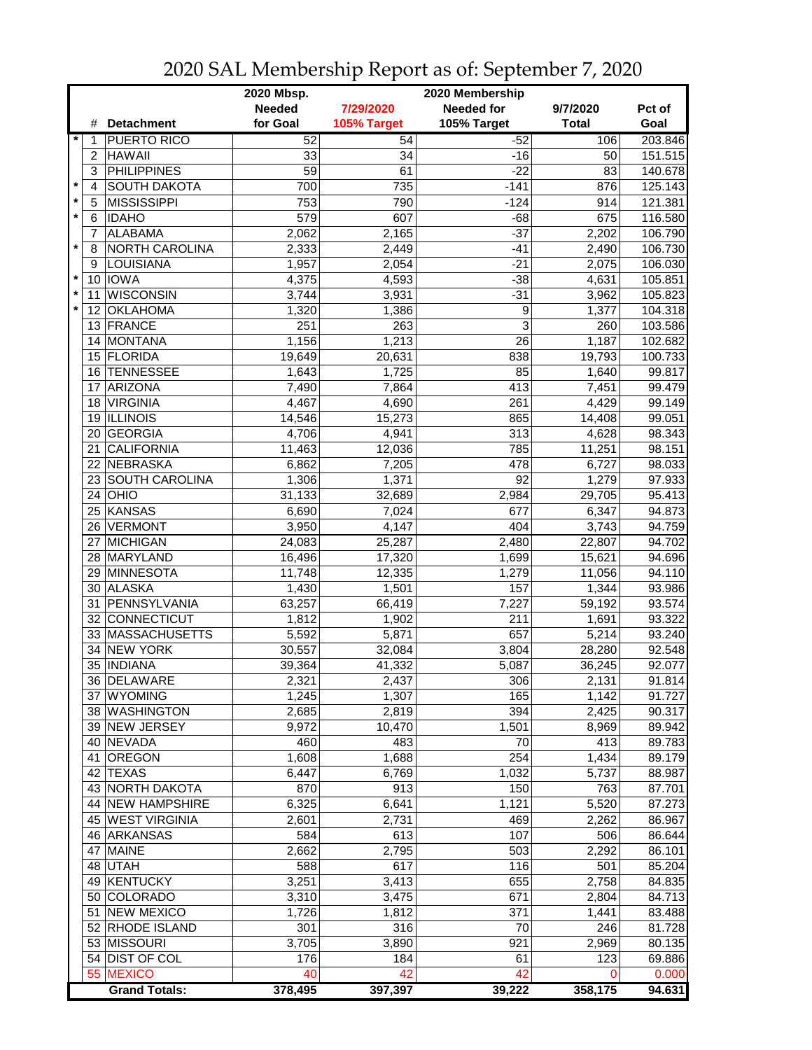|         |                |                            | 2020 Mbsp.<br>2020 Membership |             |             |              |         |  |
|---------|----------------|----------------------------|-------------------------------|-------------|-------------|--------------|---------|--|
|         |                |                            | <b>Needed</b>                 | 7/29/2020   | Needed for  | 9/7/2020     | Pct of  |  |
|         | #              | <b>Detachment</b>          | for Goal                      | 105% Target | 105% Target | <b>Total</b> | Goal    |  |
|         | 1              | PUERTO RICO                | 52                            | 54          | $-52$       | 106          | 203.846 |  |
|         | 2              | <b>HAWAII</b>              | 33                            | 34          | -16         | 50           | 151.515 |  |
|         | 3              | <b>PHILIPPINES</b>         | $\overline{59}$               | 61          | $-22$       | 83           | 140.678 |  |
| $\star$ | 4              | <b>SOUTH DAKOTA</b>        | 700                           | 735         | $-141$      | 876          | 125.143 |  |
| $\star$ | 5              | <b>MISSISSIPPI</b>         | 753                           | 790         | $-124$      | 914          | 121.381 |  |
| $\star$ | 6              | <b>IDAHO</b>               | 579                           | 607         | $-68$       | 675          | 116.580 |  |
|         | $\overline{7}$ | <b>ALABAMA</b>             | 2,062                         | 2,165       | $-37$       | 2,202        | 106.790 |  |
| $\star$ | 8              | <b>NORTH CAROLINA</b>      | 2,333                         | 2,449       | $-41$       | 2,490        | 106.730 |  |
|         | 9              | LOUISIANA                  | 1,957                         | 2,054       | $-21$       | 2,075        | 106.030 |  |
| $\star$ | 10             | <b>IOWA</b>                | 4,375                         | 4,593       | $-38$       | 4,631        | 105.851 |  |
| $\star$ | 11             | <b>WISCONSIN</b>           | 3,744                         | 3,931       | $-31$       | 3,962        | 105.823 |  |
| $\star$ | 12             | <b>OKLAHOMA</b>            | 1,320                         | 1,386       | 9           | 1,377        | 104.318 |  |
|         | 13             | FRANCE                     | 251                           | 263         | 3           | 260          | 103.586 |  |
|         | 14             | MONTANA                    | 1,156                         | 1,213       | 26          | 1,187        | 102.682 |  |
|         |                | 15 FLORIDA                 | 19,649                        | 20,631      | 838         | 19,793       | 100.733 |  |
|         | 16             | <b>TENNESSEE</b>           | 1,643                         | 1,725       | 85          | 1,640        | 99.817  |  |
|         |                |                            |                               |             |             |              |         |  |
|         | 17             | ARIZONA<br><b>VIRGINIA</b> | 7,490                         | 7,864       | 413<br>261  | 7,451        | 99.479  |  |
|         | 18             |                            | 4,467                         | 4,690       |             | 4,429        | 99.149  |  |
|         | 19             | <b>ILLINOIS</b>            | 14,546                        | 15,273      | 865         | 14,408       | 99.051  |  |
|         | 20             | <b>GEORGIA</b>             | 4,706                         | 4,941       | 313         | 4,628        | 98.343  |  |
|         | 21             | <b>CALIFORNIA</b>          | 11,463                        | 12,036      | 785         | 11,251       | 98.151  |  |
|         |                | 22 NEBRASKA                | 6,862                         | 7,205       | 478         | 6,727        | 98.033  |  |
|         |                | 23 SOUTH CAROLINA          | 1,306                         | 1,371       | 92          | 1,279        | 97.933  |  |
|         |                | $24$ OHIO                  | 31,133                        | 32,689      | 2,984       | 29,705       | 95.413  |  |
|         |                | 25 KANSAS                  | 6,690                         | 7,024       | 677         | 6,347        | 94.873  |  |
|         |                | 26 VERMONT                 | 3,950                         | 4,147       | 404         | 3,743        | 94.759  |  |
|         |                | 27 MICHIGAN                | 24,083                        | 25,287      | 2,480       | 22,807       | 94.702  |  |
|         |                | 28 MARYLAND                | 16,496                        | 17,320      | 1,699       | 15,621       | 94.696  |  |
|         | 29             | MINNESOTA                  | 11,748                        | 12,335      | 1,279       | 11,056       | 94.110  |  |
|         |                | 30 ALASKA                  | 1,430                         | 1,501       | 157         | 1,344        | 93.986  |  |
|         | 31             | <b>PENNSYLVANIA</b>        | 63,257                        | 66,419      | 7,227       | 59,192       | 93.574  |  |
|         |                | 32 CONNECTICUT             | 1,812                         | 1,902       | 211         | 1,691        | 93.322  |  |
|         |                | 33 MASSACHUSETTS           | 5,592                         | 5,871       | 657         | 5,214        | 93.240  |  |
|         | 34             | <b>NEW YORK</b>            | 30,557                        | 32,084      | 3,804       | 28,280       | 92.548  |  |
|         |                | 35  INDIANA                | 39,364                        | 41,332      | 5,087       | 36,245       | 92.077  |  |
|         |                | 36 DELAWARE                | 2,321                         | 2,437       | 306         | 2,131        | 91.814  |  |
|         |                | 37 WYOMING                 | 1,245                         | 1,307       | 165         | 1,142        | 91.727  |  |
|         |                | 38 WASHINGTON              | 2,685                         | 2,819       | 394         | 2,425        | 90.317  |  |
|         |                | 39 NEW JERSEY              | 9,972                         | 10,470      | 1,501       | 8,969        | 89.942  |  |
|         |                | 40 NEVADA                  | 460                           | 483         | 70          | 413          | 89.783  |  |
|         |                | 41 OREGON                  | 1,608                         | 1,688       | 254         | 1,434        | 89.179  |  |
|         |                | 42 TEXAS                   | 6,447                         | 6,769       | 1,032       | 5,737        | 88.987  |  |
|         |                | 43 NORTH DAKOTA            | 870                           | 913         | 150         | 763          | 87.701  |  |
|         |                | 44 NEW HAMPSHIRE           | 6,325                         | 6,641       | 1,121       | 5,520        | 87.273  |  |
|         |                | 45 WEST VIRGINIA           | 2,601                         | 2,731       | 469         | 2,262        | 86.967  |  |
|         |                | 46 ARKANSAS                | 584                           | 613         | 107         | 506          | 86.644  |  |
|         | 47             | <b>MAINE</b>               | 2,662                         | 2,795       | 503         | 2,292        | 86.101  |  |
|         |                | 48 UTAH                    | 588                           | 617         | 116         | 501          | 85.204  |  |
|         |                | 49 KENTUCKY                | 3,251                         | 3,413       | 655         | 2,758        | 84.835  |  |
|         |                | 50 COLORADO                | 3,310                         | 3,475       | 671         | 2,804        | 84.713  |  |
|         |                | 51 NEW MEXICO              | 1,726                         | 1,812       | 371         | 1,441        | 83.488  |  |
|         |                | 52 RHODE ISLAND            | 301                           | 316         | 70          | 246          | 81.728  |  |
|         |                | 53 MISSOURI                | 3,705                         | 3,890       | 921         | 2,969        | 80.135  |  |
|         |                | 54 DIST OF COL             | 176                           | 184         | 61          | 123          | 69.886  |  |
|         |                | 55 MEXICO                  | 40                            | 42          | 42          | $\Omega$     | 0.000   |  |
|         |                | <b>Grand Totals:</b>       | 378,495                       | 397,397     | 39,222      | 358,175      | 94.631  |  |

2020 SAL Membership Report as of: September 7, 2020